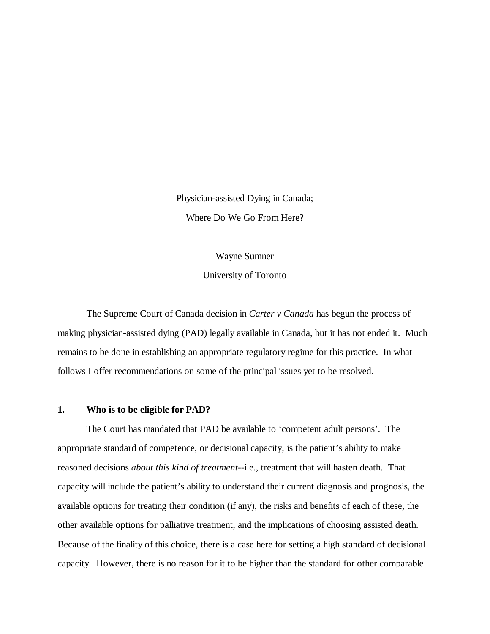Physician-assisted Dying in Canada; Where Do We Go From Here?

> Wayne Sumner University of Toronto

The Supreme Court of Canada decision in *Carter v Canada* has begun the process of making physician-assisted dying (PAD) legally available in Canada, but it has not ended it. Much remains to be done in establishing an appropriate regulatory regime for this practice. In what follows I offer recommendations on some of the principal issues yet to be resolved.

# **1. Who is to be eligible for PAD?**

The Court has mandated that PAD be available to 'competent adult persons'. The appropriate standard of competence, or decisional capacity, is the patient's ability to make reasoned decisions *about this kind of treatment*--i.e., treatment that will hasten death. That capacity will include the patient's ability to understand their current diagnosis and prognosis, the available options for treating their condition (if any), the risks and benefits of each of these, the other available options for palliative treatment, and the implications of choosing assisted death. Because of the finality of this choice, there is a case here for setting a high standard of decisional capacity. However, there is no reason for it to be higher than the standard for other comparable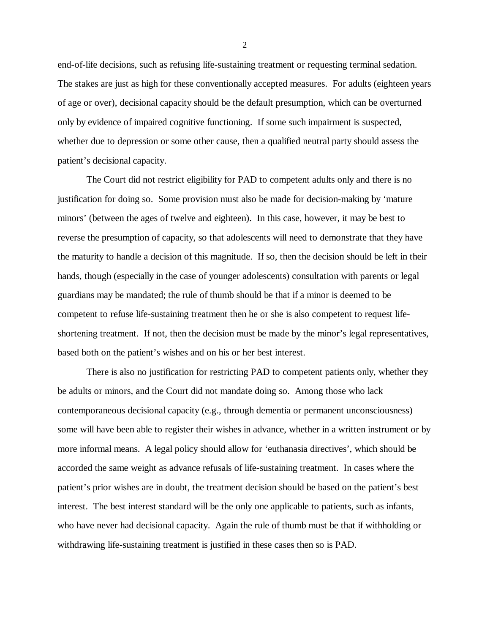end-of-life decisions, such as refusing life-sustaining treatment or requesting terminal sedation. The stakes are just as high for these conventionally accepted measures. For adults (eighteen years of age or over), decisional capacity should be the default presumption, which can be overturned only by evidence of impaired cognitive functioning. If some such impairment is suspected, whether due to depression or some other cause, then a qualified neutral party should assess the patient's decisional capacity.

The Court did not restrict eligibility for PAD to competent adults only and there is no justification for doing so. Some provision must also be made for decision-making by 'mature minors' (between the ages of twelve and eighteen). In this case, however, it may be best to reverse the presumption of capacity, so that adolescents will need to demonstrate that they have the maturity to handle a decision of this magnitude. If so, then the decision should be left in their hands, though (especially in the case of younger adolescents) consultation with parents or legal guardians may be mandated; the rule of thumb should be that if a minor is deemed to be competent to refuse life-sustaining treatment then he or she is also competent to request lifeshortening treatment. If not, then the decision must be made by the minor's legal representatives, based both on the patient's wishes and on his or her best interest.

There is also no justification for restricting PAD to competent patients only, whether they be adults or minors, and the Court did not mandate doing so. Among those who lack contemporaneous decisional capacity (e.g., through dementia or permanent unconsciousness) some will have been able to register their wishes in advance, whether in a written instrument or by more informal means. A legal policy should allow for 'euthanasia directives', which should be accorded the same weight as advance refusals of life-sustaining treatment. In cases where the patient's prior wishes are in doubt, the treatment decision should be based on the patient's best interest. The best interest standard will be the only one applicable to patients, such as infants, who have never had decisional capacity. Again the rule of thumb must be that if withholding or withdrawing life-sustaining treatment is justified in these cases then so is PAD.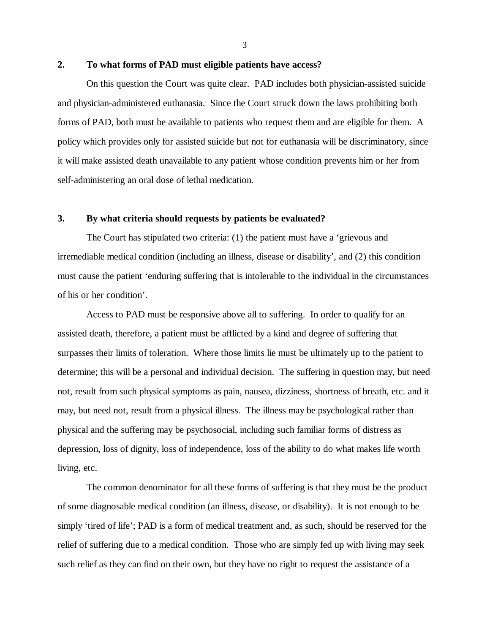**2. To what forms of PAD must eligible patients have access?**

On this question the Court was quite clear. PAD includes both physician-assisted suicide and physician-administered euthanasia. Since the Court struck down the laws prohibiting both forms of PAD, both must be available to patients who request them and are eligible for them. A policy which provides only for assisted suicide but not for euthanasia will be discriminatory, since it will make assisted death unavailable to any patient whose condition prevents him or her from self-administering an oral dose of lethal medication.

### **3. By what criteria should requests by patients be evaluated?**

The Court has stipulated two criteria: (1) the patient must have a 'grievous and irremediable medical condition (including an illness, disease or disability', and (2) this condition must cause the patient 'enduring suffering that is intolerable to the individual in the circumstances of his or her condition'.

Access to PAD must be responsive above all to suffering. In order to qualify for an assisted death, therefore, a patient must be afflicted by a kind and degree of suffering that surpasses their limits of toleration. Where those limits lie must be ultimately up to the patient to determine; this will be a personal and individual decision. The suffering in question may, but need not, result from such physical symptoms as pain, nausea, dizziness, shortness of breath, etc. and it may, but need not, result from a physical illness. The illness may be psychological rather than physical and the suffering may be psychosocial, including such familiar forms of distress as depression, loss of dignity, loss of independence, loss of the ability to do what makes life worth living, etc.

The common denominator for all these forms of suffering is that they must be the product of some diagnosable medical condition (an illness, disease, or disability). It is not enough to be simply 'tired of life'; PAD is a form of medical treatment and, as such, should be reserved for the relief of suffering due to a medical condition. Those who are simply fed up with living may seek such relief as they can find on their own, but they have no right to request the assistance of a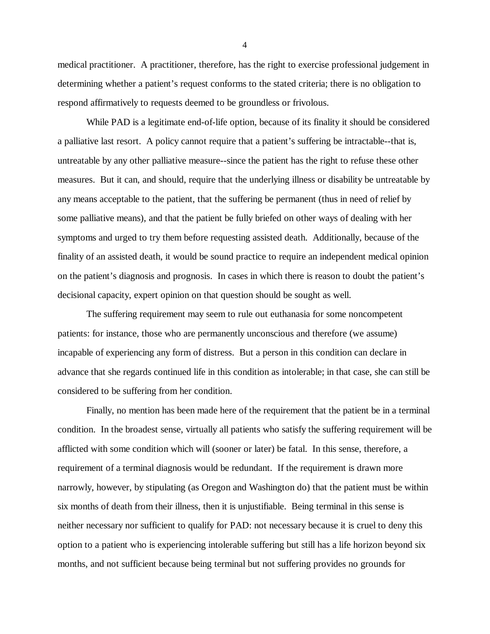medical practitioner. A practitioner, therefore, has the right to exercise professional judgement in determining whether a patient's request conforms to the stated criteria; there is no obligation to respond affirmatively to requests deemed to be groundless or frivolous.

While PAD is a legitimate end-of-life option, because of its finality it should be considered a palliative last resort. A policy cannot require that a patient's suffering be intractable--that is, untreatable by any other palliative measure--since the patient has the right to refuse these other measures. But it can, and should, require that the underlying illness or disability be untreatable by any means acceptable to the patient, that the suffering be permanent (thus in need of relief by some palliative means), and that the patient be fully briefed on other ways of dealing with her symptoms and urged to try them before requesting assisted death. Additionally, because of the finality of an assisted death, it would be sound practice to require an independent medical opinion on the patient's diagnosis and prognosis. In cases in which there is reason to doubt the patient's decisional capacity, expert opinion on that question should be sought as well.

The suffering requirement may seem to rule out euthanasia for some noncompetent patients: for instance, those who are permanently unconscious and therefore (we assume) incapable of experiencing any form of distress. But a person in this condition can declare in advance that she regards continued life in this condition as intolerable; in that case, she can still be considered to be suffering from her condition.

Finally, no mention has been made here of the requirement that the patient be in a terminal condition. In the broadest sense, virtually all patients who satisfy the suffering requirement will be afflicted with some condition which will (sooner or later) be fatal. In this sense, therefore, a requirement of a terminal diagnosis would be redundant. If the requirement is drawn more narrowly, however, by stipulating (as Oregon and Washington do) that the patient must be within six months of death from their illness, then it is unjustifiable. Being terminal in this sense is neither necessary nor sufficient to qualify for PAD: not necessary because it is cruel to deny this option to a patient who is experiencing intolerable suffering but still has a life horizon beyond six months, and not sufficient because being terminal but not suffering provides no grounds for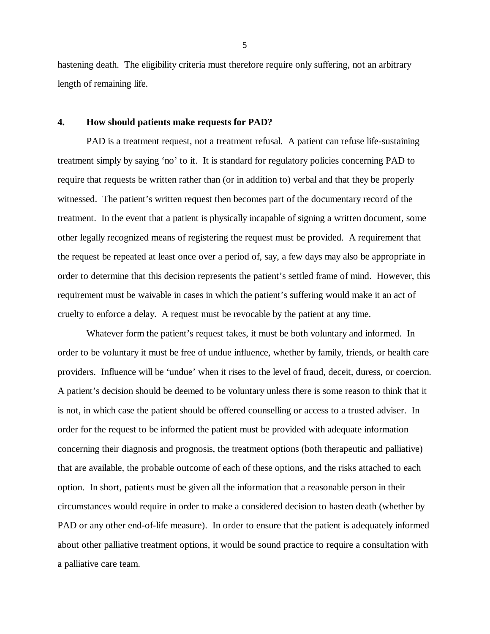hastening death. The eligibility criteria must therefore require only suffering, not an arbitrary length of remaining life.

### **4. How should patients make requests for PAD?**

PAD is a treatment request, not a treatment refusal. A patient can refuse life-sustaining treatment simply by saying 'no' to it. It is standard for regulatory policies concerning PAD to require that requests be written rather than (or in addition to) verbal and that they be properly witnessed. The patient's written request then becomes part of the documentary record of the treatment. In the event that a patient is physically incapable of signing a written document, some other legally recognized means of registering the request must be provided. A requirement that the request be repeated at least once over a period of, say, a few days may also be appropriate in order to determine that this decision represents the patient's settled frame of mind. However, this requirement must be waivable in cases in which the patient's suffering would make it an act of cruelty to enforce a delay. A request must be revocable by the patient at any time.

Whatever form the patient's request takes, it must be both voluntary and informed. In order to be voluntary it must be free of undue influence, whether by family, friends, or health care providers. Influence will be 'undue' when it rises to the level of fraud, deceit, duress, or coercion. A patient's decision should be deemed to be voluntary unless there is some reason to think that it is not, in which case the patient should be offered counselling or access to a trusted adviser. In order for the request to be informed the patient must be provided with adequate information concerning their diagnosis and prognosis, the treatment options (both therapeutic and palliative) that are available, the probable outcome of each of these options, and the risks attached to each option. In short, patients must be given all the information that a reasonable person in their circumstances would require in order to make a considered decision to hasten death (whether by PAD or any other end-of-life measure). In order to ensure that the patient is adequately informed about other palliative treatment options, it would be sound practice to require a consultation with a palliative care team.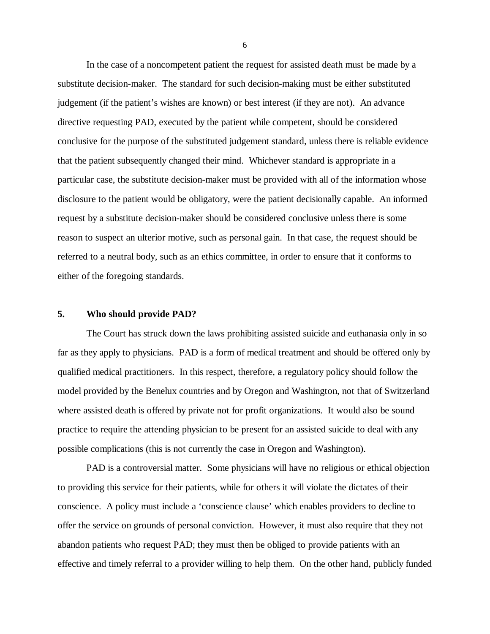In the case of a noncompetent patient the request for assisted death must be made by a substitute decision-maker. The standard for such decision-making must be either substituted judgement (if the patient's wishes are known) or best interest (if they are not). An advance directive requesting PAD, executed by the patient while competent, should be considered conclusive for the purpose of the substituted judgement standard, unless there is reliable evidence that the patient subsequently changed their mind. Whichever standard is appropriate in a particular case, the substitute decision-maker must be provided with all of the information whose disclosure to the patient would be obligatory, were the patient decisionally capable. An informed request by a substitute decision-maker should be considered conclusive unless there is some reason to suspect an ulterior motive, such as personal gain. In that case, the request should be referred to a neutral body, such as an ethics committee, in order to ensure that it conforms to either of the foregoing standards.

#### **5. Who should provide PAD?**

The Court has struck down the laws prohibiting assisted suicide and euthanasia only in so far as they apply to physicians. PAD is a form of medical treatment and should be offered only by qualified medical practitioners. In this respect, therefore, a regulatory policy should follow the model provided by the Benelux countries and by Oregon and Washington, not that of Switzerland where assisted death is offered by private not for profit organizations. It would also be sound practice to require the attending physician to be present for an assisted suicide to deal with any possible complications (this is not currently the case in Oregon and Washington).

PAD is a controversial matter. Some physicians will have no religious or ethical objection to providing this service for their patients, while for others it will violate the dictates of their conscience. A policy must include a 'conscience clause' which enables providers to decline to offer the service on grounds of personal conviction. However, it must also require that they not abandon patients who request PAD; they must then be obliged to provide patients with an effective and timely referral to a provider willing to help them. On the other hand, publicly funded